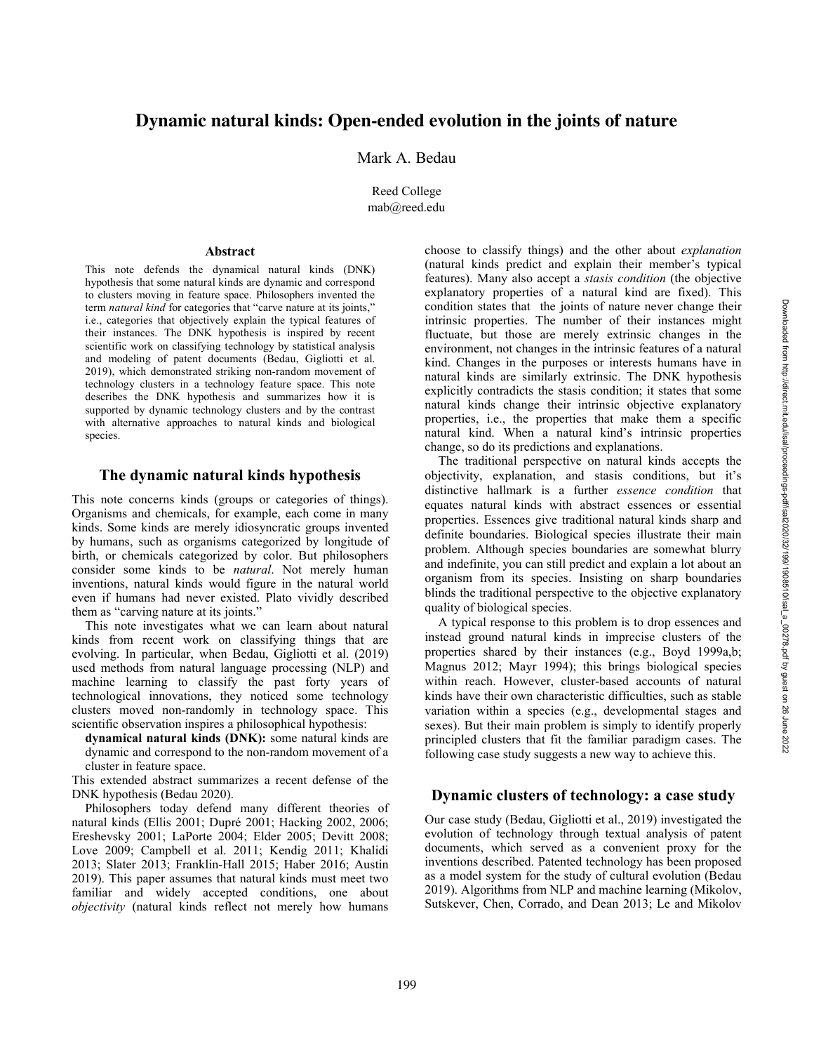# **Dynamic natural kinds: Open -ended evolution in the joints of nature**

Mark A. Bedau

Reed College mab@reed.edu

#### **Abstract**

This note defends the dynamical natural kinds (DNK) hypothesis that some natural kinds are dynamic and correspond to clusters moving in feature space. Philosophers invented the term *natural kind* for categories that "carve nature at its joints," i.e., categories that objectively explain the typical features of their instances. The DNK hypothesis is inspired by recent scientific work on classifying technology by statistical analysis and modeling of patent documents (Bedau, Gigliotti et al. 2019), which demonstrated striking non -random movement of technology clusters in a technology feature space. This note describes the DNK hypothesis and summarizes how it is supported by dynamic technology clusters and by the contrast with alternative approaches to natural kinds and biological species.

### **The dynamic natural kinds hypothesis**

This note concerns kinds (groups or categories of things). Organisms and chemicals, for example, each come in many kinds. Some kinds are merely idiosyncratic groups invented by humans, such as organism s categorized by longitude of birth, or chemicals categorized by color. But philosophers consider some kinds to be *natural*. Not merely human inventions, natural kinds would figure in the natural world even if humans had never existed. Plato vividly described them as "carving nature at its joints . "

This note investigates what we can learn about natural kinds from recent work on classifying things that are evolving. In particular, when Bedau, Gigliotti et al. (2019) used methods from natural language processing (NLP) and machine learning to classify the past forty years of technological innovations , they noticed some technology clusters moved non -randomly in technology space. This scientific observation inspires a philosophical hypothesis:

**dynamical natural kinds (DNK):** some natural kinds are dynamic and correspond to the non -random movement of a cluster in feature space.

This extended abstract summarizes a recent defense of the DNK hypothesis (Bedau 2020) .

Philosophers today defend many different theories of natural kinds ( Ellis 2001; Dupré 2001; Hacking 2002, 2006; Ereshevsky 2001; LaPorte 2004; Elder 2005; Devitt 2008; Love 2009; Campbell et al. 2011; Kendig 2011; Khalidi 2013; Slater 2013; Franklin -Hall 2015; Haber 2016 ; Austin 2019 ). This paper assumes that natural kinds must meet two familiar and widely accepted conditions, one about *objectivity* (natural kinds reflect not merely how humans

choose to classify things) and the other about *explanation*  (natural kinds predict and explain their member's typical features ) . Many also accept a *stasis condition* (the objective explanatory properties of a natural kind are fixed). This condition states that the joints of nature never change their intrinsic properties. The number of their instances might fluctuate, but those are merely extrinsic changes in the environment, not changes in the intrinsic features of a natural kind. Changes in the purposes or interests humans have in natural kinds are similarly extrinsic. The DNK hypothesis explicitly contradicts the stasis condition; it states that some natural kinds change their intrinsic objective explanatory properties, i.e., the properties that make them a specific natural kind. When a natural kind's intrinsic properties change, so do its predictions and explanations .

The traditional perspective on natural kinds accepts the objectivity , explanation , and stasis conditions, but it's distinctive hallmark is a further *essence condition* that equates natural kinds with abstract essences or essential properties. E s sences give traditional natural kinds sharp and definite boundaries. Biological species illustrate their main problem. Although species boundaries are somewhat blurry and indefinite, you can still predict and explain a lot about an organism from its species. Insisting on sharp boundaries blind s the traditional perspective to the objective explanatory quality of biological species.

A typical response to this problem is to drop essences and instead ground natural kinds in imprecise clusters of the properties shared by their instances (e.g., Boyd 1999a,b; Magnus 2012; Mayr 1994 ); this brings biological species within reach. However, cluster -based accounts of natural kinds have their own characteristic difficulties, such as stable variation within a species (e.g., developmental stages and sexes). But t h eir main problem is simply to identify properly principled clusters that fit the familiar paradigm cases . The following case study suggests a new way to achieve this .

### **Dynamic clusters of technology: a case study**

Our case study (Bedau, Gigliotti et al., 2019) investigated the evolution of technology through textual analysis of patent documents, which served as a convenient proxy for the inventions describe d . Patented technology has been proposed as a model system for the study of cultural evolution (Bedau 2019) . Algorithms from NLP and machine learning (Mikolov, Sutskever, Chen, Corrado, and Dean 2013 ; Le and Mikolov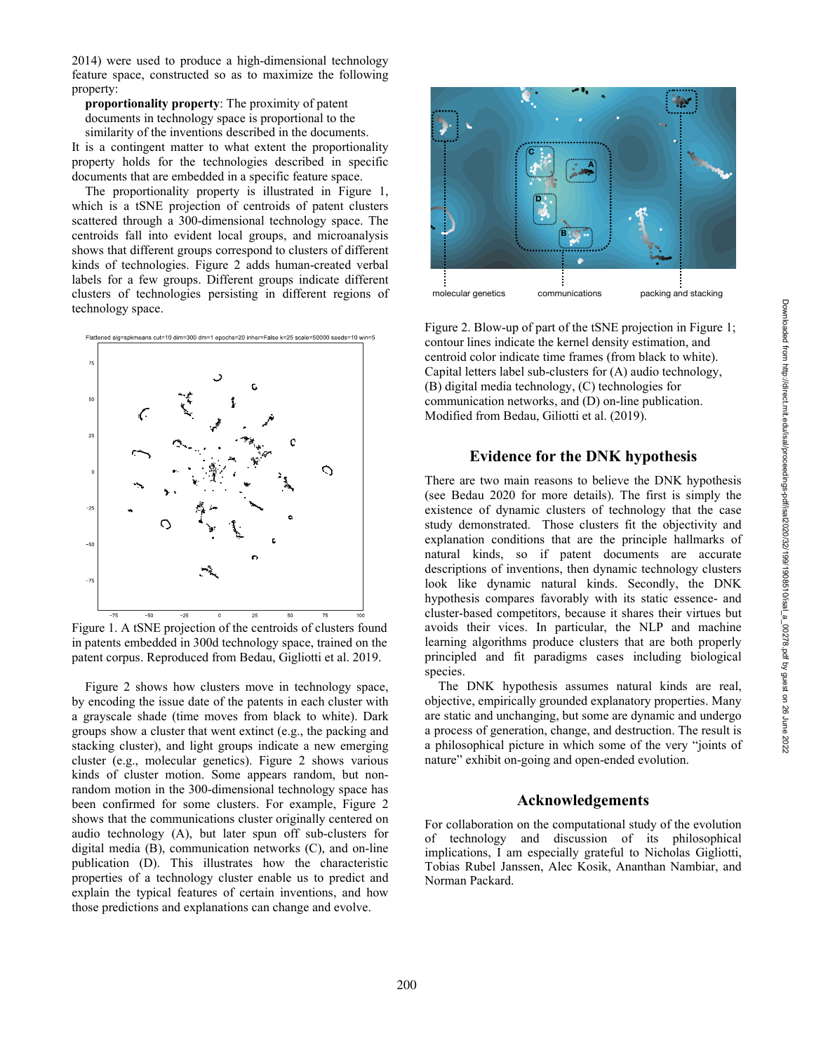2014) were used to produce a high -dimensional technology feature space , constructed so as to maximize the following property :

**proportionality property**: The proximity of patent documents in technology space is proportional to the similarity of the inventions described in the documents.

It is a contingent matter to what extent th e proportionality property holds for the technologies described in specific documents that are embedded in a specific feature space .

The proportionality property is illustrated in Figure 1, which is a tSNE projection of centroids of patent clusters scattered through a 300 -dimensional technology space. The centroids fall into evident local groups, and microanalysis shows that different groups correspond to clusters of different kinds of technologies. Figure 2 adds human -created verbal labels for a few groups. Different groups indicate different clusters of technologies persisting in different regions of technology space.



Figure 1. A tSNE projection of the centroids of clusters found in patents embedded in 300d technology space, trained on the patent corpus. Reproduced from Bedau, Gigliotti et al. 2019.

Figure 2 shows how cluster s mov e in technology space, by encoding the issue date of the patents in each cluster with a grayscale shade (time moves from black to white ). Dark groups show a cluster that went extinct (e.g., the packing and stacking cluster), and light groups indicate a new emerging cluster (e.g., molecular genetics ). Figure 2 shows various kinds of cluster motion. Some appears random, but non random motion in the 300 -dimensional technology space has been confirmed for some clusters. For example , Figure 2 show s that the communications cluster originally centered on audio technology (A), but later spun off sub -clusters for digital media (B), communication networks (C), and on -line publication (D). This illustrates how the characteristic properties of a technology cluster enable us to predict and explain the typical features of certain inventions, and how those predictions and explanations can change and evolve.



Figure 2. Blow-up of part of the tSNE projection in Figure 1; contour lines indicate the kernel density estimation, and centroid color indicate time frames (from black to white). Capital letters label sub -clusters for (A) audio technology, (B) digital media technology, (C) technologies for communication networks , and (D) on -line publication. Modified from Bedau, Giliotti et al. (2019).

## **Evidence for the DNK hypothesis**

There are two main reasons to believe the DNK hypothesis (see Bedau 2020 for more details) . The first is simply the existence of dynamic clusters of technology that the case study demonstrate d. Those clusters fit the objectivity and explanation conditions that are the principle hallmarks of natural kinds, so if patent documents are accurate descriptions of inventions, then dynamic technology clusters look like dynamic natural kinds. Secondly, the DNK hypothesis compares favorably with its static essence- and cluster -based competitors, because it shares their virtues but avoids their vices. In particular, the NLP and machine learning algorithms produce clusters that are both properly principled and fit paradigms cases including biological species.

The DNK hypothesis assumes natural kinds are real, objective, empirically grounded explanatory properties. Many are static and unchanging, but some are dynamic and undergo a process of generation, change, and destruction. The result is a philosophical picture in which some of the very "joints of nature " exhibit on -going and open -ended evolution.

#### **Acknowledgements**

For collaboration on the computational study of the evolution of technology and discussion of its philosophical implications, I am especially grateful to Nicholas Gigliotti, Tobias Rubel Janssen, Alec Kosik, Ananthan Nambiar, and Norman Packard.